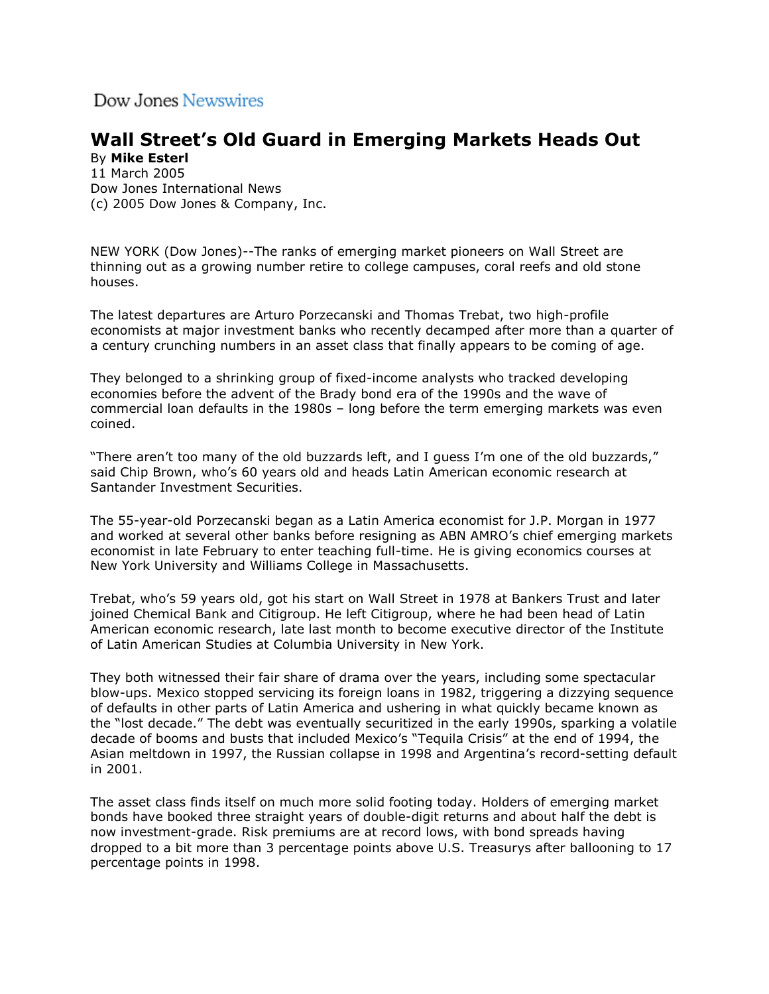Dow Jones Newswires

## **Wall Street's Old Guard in Emerging Markets Heads Out**

By **Mike Esterl** 11 March 2005 [Dow Jones International News](javascript:void(0)) (c) 2005 Dow Jones & Company, Inc.

NEW YORK (Dow Jones)--The ranks of emerging market pioneers on Wall Street are thinning out as a growing number retire to college campuses, coral reefs and old stone houses.

The latest departures are Arturo Porzecanski and Thomas Trebat, two high-profile economists at major investment banks who recently decamped after more than a quarter of a century crunching numbers in an asset class that finally appears to be coming of age.

They belonged to a shrinking group of fixed-income analysts who tracked developing economies before the advent of the Brady bond era of the 1990s and the wave of commercial loan defaults in the 1980s – long before the term emerging markets was even coined.

"There aren't too many of the old buzzards left, and I guess I'm one of the old buzzards," said Chip Brown, who's 60 years old and heads Latin American economic research at Santander Investment Securities.

The 55-year-old Porzecanski began as a Latin America economist for J.P. Morgan in 1977 and worked at several other banks before resigning as ABN AMRO's chief emerging markets economist in late February to enter teaching full-time. He is giving economics courses at New York University and Williams College in Massachusetts.

Trebat, who's 59 years old, got his start on Wall Street in 1978 at Bankers Trust and later joined Chemical Bank and Citigroup. He left Citigroup, where he had been head of Latin American economic research, late last month to become executive director of the Institute of Latin American Studies at Columbia University in New York.

They both witnessed their fair share of drama over the years, including some spectacular blow-ups. Mexico stopped servicing its foreign loans in 1982, triggering a dizzying sequence of defaults in other parts of Latin America and ushering in what quickly became known as the "lost decade." The debt was eventually securitized in the early 1990s, sparking a volatile decade of booms and busts that included Mexico's "Tequila Crisis" at the end of 1994, the Asian meltdown in 1997, the Russian collapse in 1998 and Argentina's record-setting default in 2001.

The asset class finds itself on much more solid footing today. Holders of emerging market bonds have booked three straight years of double-digit returns and about half the debt is now investment-grade. Risk premiums are at record lows, with bond spreads having dropped to a bit more than 3 percentage points above U.S. Treasurys after ballooning to 17 percentage points in 1998.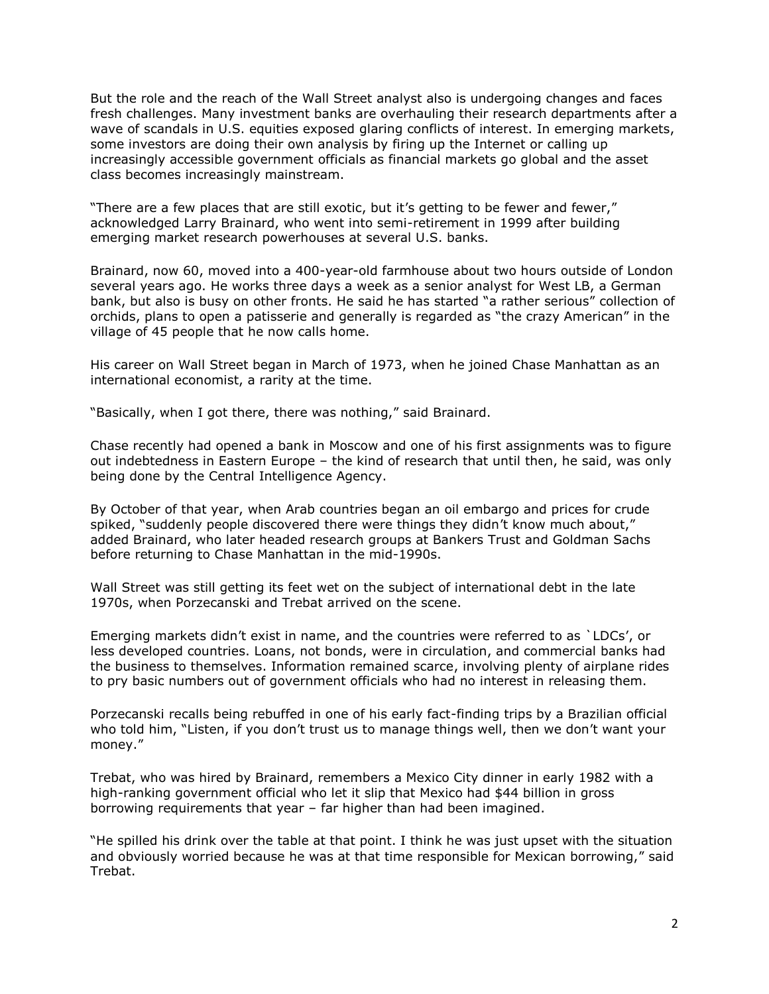But the role and the reach of the Wall Street analyst also is undergoing changes and faces fresh challenges. Many investment banks are overhauling their research departments after a wave of scandals in U.S. equities exposed glaring conflicts of interest. In emerging markets, some investors are doing their own analysis by firing up the Internet or calling up increasingly accessible government officials as financial markets go global and the asset class becomes increasingly mainstream.

"There are a few places that are still exotic, but it's getting to be fewer and fewer," acknowledged Larry Brainard, who went into semi-retirement in 1999 after building emerging market research powerhouses at several U.S. banks.

Brainard, now 60, moved into a 400-year-old farmhouse about two hours outside of London several years ago. He works three days a week as a senior analyst for West LB, a German bank, but also is busy on other fronts. He said he has started "a rather serious" collection of orchids, plans to open a patisserie and generally is regarded as "the crazy American" in the village of 45 people that he now calls home.

His career on Wall Street began in March of 1973, when he joined Chase Manhattan as an international economist, a rarity at the time.

"Basically, when I got there, there was nothing," said Brainard.

Chase recently had opened a bank in Moscow and one of his first assignments was to figure out indebtedness in Eastern Europe – the kind of research that until then, he said, was only being done by the Central Intelligence Agency.

By October of that year, when Arab countries began an oil embargo and prices for crude spiked, "suddenly people discovered there were things they didn't know much about," added Brainard, who later headed research groups at Bankers Trust and Goldman Sachs before returning to Chase Manhattan in the mid-1990s.

Wall Street was still getting its feet wet on the subject of international debt in the late 1970s, when Porzecanski and Trebat arrived on the scene.

Emerging markets didn't exist in name, and the countries were referred to as `LDCs', or less developed countries. Loans, not bonds, were in circulation, and commercial banks had the business to themselves. Information remained scarce, involving plenty of airplane rides to pry basic numbers out of government officials who had no interest in releasing them.

Porzecanski recalls being rebuffed in one of his early fact-finding trips by a Brazilian official who told him, "Listen, if you don't trust us to manage things well, then we don't want your money."

Trebat, who was hired by Brainard, remembers a Mexico City dinner in early 1982 with a high-ranking government official who let it slip that Mexico had \$44 billion in gross borrowing requirements that year – far higher than had been imagined.

"He spilled his drink over the table at that point. I think he was just upset with the situation and obviously worried because he was at that time responsible for Mexican borrowing," said Trebat.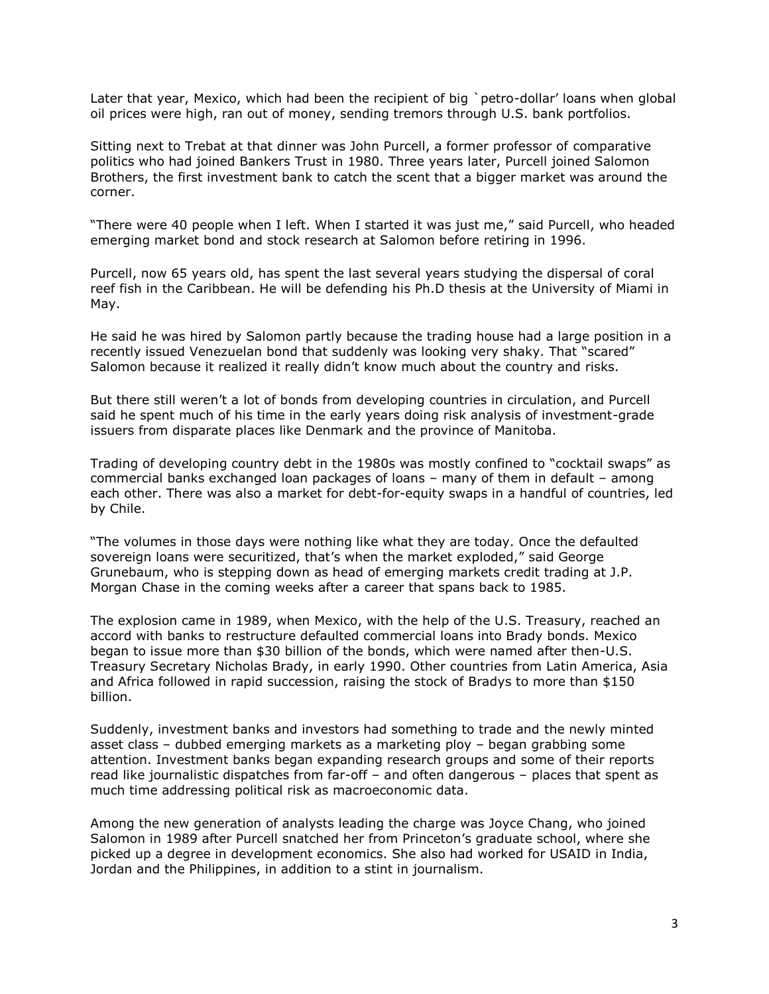Later that year, Mexico, which had been the recipient of big `petro-dollar' loans when global oil prices were high, ran out of money, sending tremors through U.S. bank portfolios.

Sitting next to Trebat at that dinner was John Purcell, a former professor of comparative politics who had joined Bankers Trust in 1980. Three years later, Purcell joined Salomon Brothers, the first investment bank to catch the scent that a bigger market was around the corner.

"There were 40 people when I left. When I started it was just me," said Purcell, who headed emerging market bond and stock research at Salomon before retiring in 1996.

Purcell, now 65 years old, has spent the last several years studying the dispersal of coral reef fish in the Caribbean. He will be defending his Ph.D thesis at the University of Miami in May.

He said he was hired by Salomon partly because the trading house had a large position in a recently issued Venezuelan bond that suddenly was looking very shaky. That "scared" Salomon because it realized it really didn't know much about the country and risks.

But there still weren't a lot of bonds from developing countries in circulation, and Purcell said he spent much of his time in the early years doing risk analysis of investment-grade issuers from disparate places like Denmark and the province of Manitoba.

Trading of developing country debt in the 1980s was mostly confined to "cocktail swaps" as commercial banks exchanged loan packages of loans – many of them in default – among each other. There was also a market for debt-for-equity swaps in a handful of countries, led by Chile.

"The volumes in those days were nothing like what they are today. Once the defaulted sovereign loans were securitized, that's when the market exploded," said George Grunebaum, who is stepping down as head of emerging markets credit trading at J.P. Morgan Chase in the coming weeks after a career that spans back to 1985.

The explosion came in 1989, when Mexico, with the help of the U.S. Treasury, reached an accord with banks to restructure defaulted commercial loans into Brady bonds. Mexico began to issue more than \$30 billion of the bonds, which were named after then-U.S. Treasury Secretary Nicholas Brady, in early 1990. Other countries from Latin America, Asia and Africa followed in rapid succession, raising the stock of Bradys to more than \$150 billion.

Suddenly, investment banks and investors had something to trade and the newly minted asset class – dubbed emerging markets as a marketing ploy – began grabbing some attention. Investment banks began expanding research groups and some of their reports read like journalistic dispatches from far-off – and often dangerous – places that spent as much time addressing political risk as macroeconomic data.

Among the new generation of analysts leading the charge was Joyce Chang, who joined Salomon in 1989 after Purcell snatched her from Princeton's graduate school, where she picked up a degree in development economics. She also had worked for USAID in India, Jordan and the Philippines, in addition to a stint in journalism.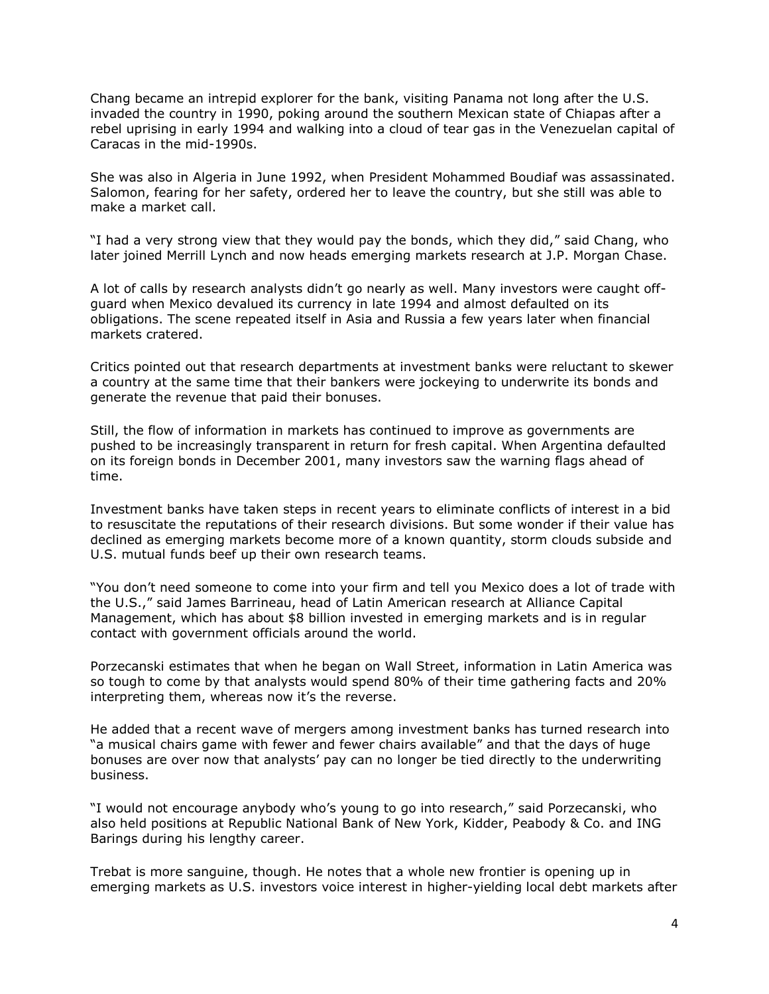Chang became an intrepid explorer for the bank, visiting Panama not long after the U.S. invaded the country in 1990, poking around the southern Mexican state of Chiapas after a rebel uprising in early 1994 and walking into a cloud of tear gas in the Venezuelan capital of Caracas in the mid-1990s.

She was also in Algeria in June 1992, when President Mohammed Boudiaf was assassinated. Salomon, fearing for her safety, ordered her to leave the country, but she still was able to make a market call.

"I had a very strong view that they would pay the bonds, which they did," said Chang, who later joined Merrill Lynch and now heads emerging markets research at J.P. Morgan Chase.

A lot of calls by research analysts didn't go nearly as well. Many investors were caught offguard when Mexico devalued its currency in late 1994 and almost defaulted on its obligations. The scene repeated itself in Asia and Russia a few years later when financial markets cratered.

Critics pointed out that research departments at investment banks were reluctant to skewer a country at the same time that their bankers were jockeying to underwrite its bonds and generate the revenue that paid their bonuses.

Still, the flow of information in markets has continued to improve as governments are pushed to be increasingly transparent in return for fresh capital. When Argentina defaulted on its foreign bonds in December 2001, many investors saw the warning flags ahead of time.

Investment banks have taken steps in recent years to eliminate conflicts of interest in a bid to resuscitate the reputations of their research divisions. But some wonder if their value has declined as emerging markets become more of a known quantity, storm clouds subside and U.S. mutual funds beef up their own research teams.

"You don't need someone to come into your firm and tell you Mexico does a lot of trade with the U.S.," said James Barrineau, head of Latin American research at Alliance Capital Management, which has about \$8 billion invested in emerging markets and is in regular contact with government officials around the world.

Porzecanski estimates that when he began on Wall Street, information in Latin America was so tough to come by that analysts would spend 80% of their time gathering facts and 20% interpreting them, whereas now it's the reverse.

He added that a recent wave of mergers among investment banks has turned research into "a musical chairs game with fewer and fewer chairs available" and that the days of huge bonuses are over now that analysts' pay can no longer be tied directly to the underwriting business.

"I would not encourage anybody who's young to go into research," said Porzecanski, who also held positions at Republic National Bank of New York, Kidder, Peabody & Co. and ING Barings during his lengthy career.

Trebat is more sanguine, though. He notes that a whole new frontier is opening up in emerging markets as U.S. investors voice interest in higher-yielding local debt markets after